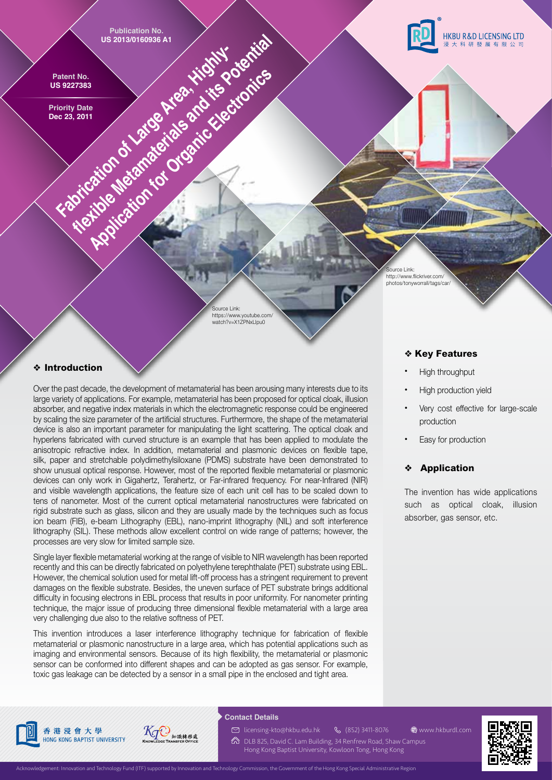

http://www.flickriver.com/ photos/tonyworrall/tags/car/

Source Link: https://www.youtube.com/ watch?v=X1ZPNxLlpu0

## ❖ **Introduction**

Over the past decade, the development of metamaterial has been arousing many interests due to its large variety of applications. For example, metamaterial has been proposed for optical cloak, illusion absorber, and negative index materials in which the electromagnetic response could be engineered by scaling the size parameter of the artificial structures. Furthermore, the shape of the metamaterial device is also an important parameter for manipulating the light scattering. The optical cloak and hyperlens fabricated with curved structure is an example that has been applied to modulate the anisotropic refractive index. In addition, metamaterial and plasmonic devices on flexible tape, silk, paper and stretchable polydimethylsiloxane (PDMS) substrate have been demonstrated to show unusual optical response. However, most of the reported flexible metamaterial or plasmonic devices can only work in Gigahertz, Terahertz, or Far-infrared frequency. For near-Infrared (NIR) and visible wavelength applications, the feature size of each unit cell has to be scaled down to tens of nanometer. Most of the current optical metamaterial nanostructures were fabricated on rigid substrate such as glass, silicon and they are usually made by the techniques such as focus ion beam (FIB), e-beam Lithography (EBL), nano-imprint lithography (NIL) and soft interference lithography (SIL). These methods allow excellent control on wide range of patterns; however, the processes are very slow for limited sample size.

Single layer flexible metamaterial working at the range of visible to NIR wavelength has been reported recently and this can be directly fabricated on polyethylene terephthalate (PET) substrate using EBL. However, the chemical solution used for metal lift-off process has a stringent requirement to prevent damages on the flexible substrate. Besides, the uneven surface of PET substrate brings additional difficulty in focusing electrons in EBL process that results in poor uniformity. For nanometer printing technique, the major issue of producing three dimensional flexible metamaterial with a large area very challenging due also to the relative softness of PET.

This invention introduces a laser interference lithography technique for fabrication of flexible metamaterial or plasmonic nanostructure in a large area, which has potential applications such as imaging and environmental sensors. Because of its high flexibility, the metamaterial or plasmonic sensor can be conformed into different shapes and can be adopted as gas sensor. For example, toxic gas leakage can be detected by a sensor in a small pipe in the enclosed and tight area.

### ❖ **Key Features**

- High throughput
- High production yield
- Very cost effective for large-scale production
- Easy for production

# ❖ **Application**

The invention has wide applications such as optical cloak, illusion absorber, gas sensor, etc.







## **Contact Details**

**& (852) 3411-8076** licensing-kto@hkbu.edu.hk

 $\textcircled{2}$  DLB 825, David C. Lam Building, 34 Renfrew Road, Shaw Campus Hong Kong Baptist University, Kowloon Tong, Hong Kong www.hkburdl.com

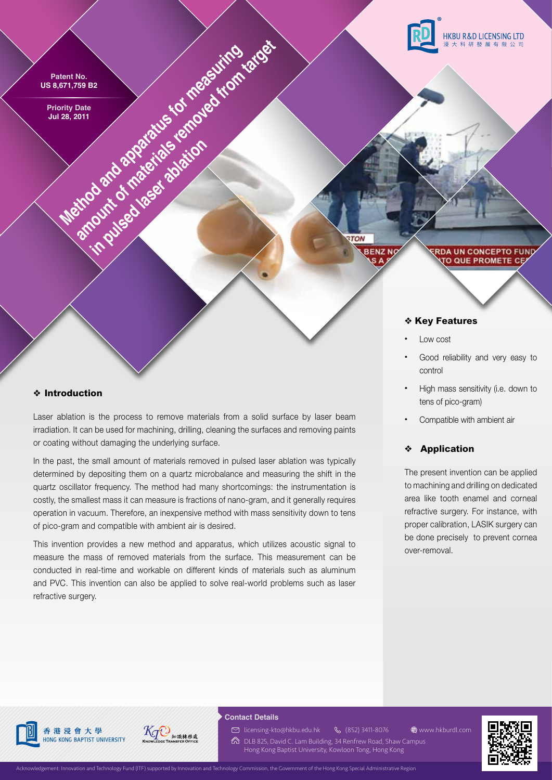

# ❖ **Introduction**

Laser ablation is the process to remove materials from a solid surface by laser beam irradiation. It can be used for machining, drilling, cleaning the surfaces and removing paints or coating without damaging the underlying surface.

In the past, the small amount of materials removed in pulsed laser ablation was typically determined by depositing them on a quartz microbalance and measuring the shift in the quartz oscillator frequency. The method had many shortcomings: the instrumentation is costly, the smallest mass it can measure is fractions of nano-gram, and it generally requires operation in vacuum. Therefore, an inexpensive method with mass sensitivity down to tens of pico-gram and compatible with ambient air is desired.

This invention provides a new method and apparatus, which utilizes acoustic signal to measure the mass of removed materials from the surface. This measurement can be conducted in real-time and workable on different kinds of materials such as aluminum and PVC. This invention can also be applied to solve real-world problems such as laser refractive surgery.

- control
- High mass sensitivity (i.e. down to tens of pico-gram)
- Compatible with ambient air

## ❖ **Application**

The present invention can be applied to machining and drilling on dedicated area like tooth enamel and corneal refractive surgery. For instance, with proper calibration, LASIK surgery can be done precisely to prevent cornea over-removal.



# 香港浸會大學 HONG KONG BAPTIST UNIVERSITY



#### **Contact Details**

licensing-kto@hkbu.edu.hk

- **& (852) 3411-8076**  $\textcircled{2}$  DLB 825, David C. Lam Building, 34 Renfrew Road, Shaw Campus www.hkburdl.com
	- Hong Kong Baptist University, Kowloon Tong, Hong Kong